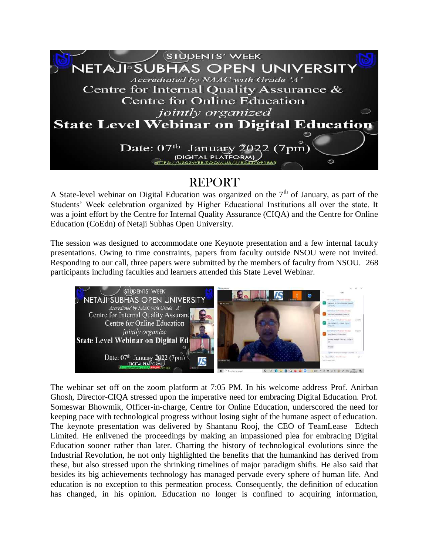

## **REPORT**

A State-level webinar on Digital Education was organized on the  $7<sup>th</sup>$  of January, as part of the Students' Week celebration organized by Higher Educational Institutions all over the state. It was a joint effort by the Centre for Internal Quality Assurance (CIQA) and the Centre for Online Education (CoEdn) of Netaji Subhas Open University.

The session was designed to accommodate one Keynote presentation and a few internal faculty presentations. Owing to time constraints, papers from faculty outside NSOU were not invited. Responding to our call, three papers were submitted by the members of faculty from NSOU. 268 participants including faculties and learners attended this State Level Webinar.



The webinar set off on the zoom platform at 7:05 PM. In his welcome address Prof. Anirban Ghosh, Director-CIQA stressed upon the imperative need for embracing Digital Education. Prof. Someswar Bhowmik, Officer-in-charge, Centre for Online Education, underscored the need for keeping pace with technological progress without losing sight of the humane aspect of education. The keynote presentation was delivered by Shantanu Rooj, the CEO of TeamLease Edtech Limited. He enlivened the proceedings by making an impassioned plea for embracing Digital Education sooner rather than later. Charting the history of technological evolutions since the Industrial Revolution, he not only highlighted the benefits that the humankind has derived from these, but also stressed upon the shrinking timelines of major paradigm shifts. He also said that besides its big achievements technology has managed pervade every sphere of human life. And education is no exception to this permeation process. Consequently, the definition of education has changed, in his opinion. Education no longer is confined to acquiring information,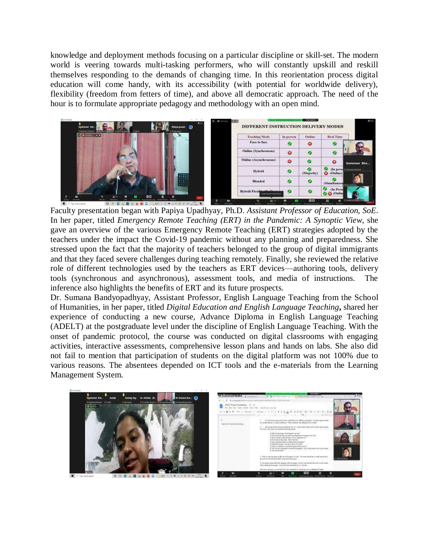knowledge and deployment methods focusing on a particular discipline or skill-set. The modern world is veering towards multi-tasking performers, who will constantly upskill and reskill themselves responding to the demands of changing time. In this reorientation process digital education will come handy, with its accessibility (with potential for worldwide delivery), flexibility (freedom from fetters of time), and above all democratic approach. The need of the hour is to formulate appropriate pedagogy and methodology with an open mind.



Faculty presentation began with Papiya Upadhyay, Ph.D. *Assistant Professor of Education, SoE*. In her paper, titled *Emergency Remote Teaching (ERT) in the Pandemic: A Synoptic View*, she gave an overview of the various Emergency Remote Teaching (ERT) strategies adopted by the teachers under the impact the Covid-19 pandemic without any planning and preparedness. She stressed upon the fact that the majority of teachers belonged to the group of digital immigrants and that they faced severe challenges during teaching remotely. Finally, she reviewed the relative role of different technologies used by the teachers as ERT devices—authoring tools, delivery tools (synchronous and asynchronous), assessment tools, and media of instructions. The inference also highlights the benefits of ERT and its future prospects.

Dr. Sumana Bandyopadhyay, Assistant Professor, English Language Teaching from the School of Humanities, in her paper, titled *Digital Education and English Language Teaching***,** shared her experience of conducting a new course, Advance Diploma in English Language Teaching (ADELT) at the postgraduate level under the discipline of English Language Teaching. With the onset of pandemic protocol, the course was conducted on digital classrooms with engaging activities, interactive assessments, comprehensive lesson plans and hands on labs. She also did not fail to mention that participation of students on the digital platform was not 100% due to various reasons. The absentees depended on ICT tools and the e-materials from the Learning Management System.